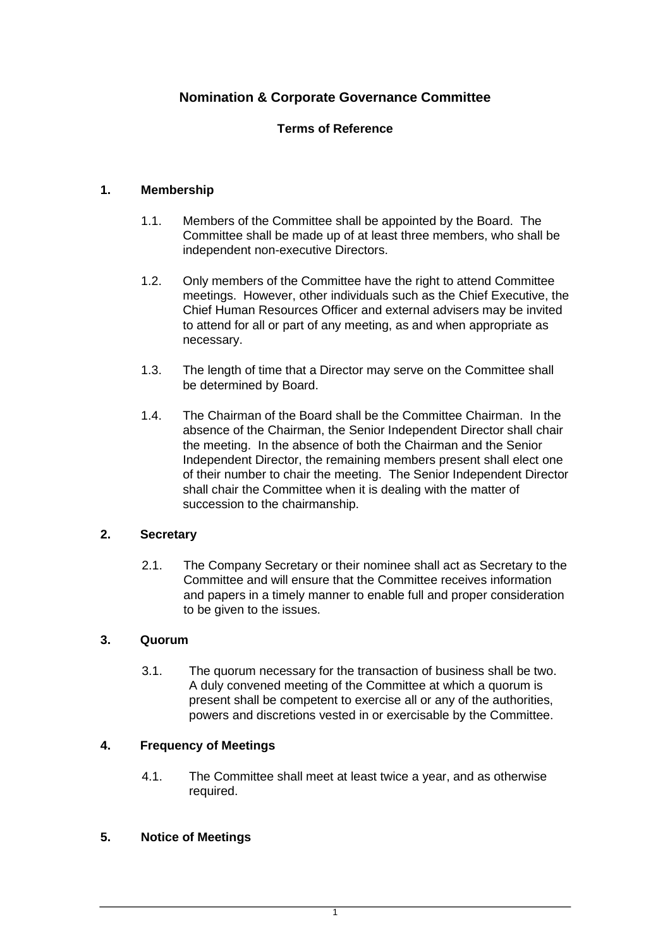# **Nomination & Corporate Governance Committee**

### **Terms of Reference**

### **1. Membership**

- 1.1. Members of the Committee shall be appointed by the Board. The Committee shall be made up of at least three members, who shall be independent non-executive Directors.
- 1.2. Only members of the Committee have the right to attend Committee meetings. However, other individuals such as the Chief Executive, the Chief Human Resources Officer and external advisers may be invited to attend for all or part of any meeting, as and when appropriate as necessary.
- 1.3. The length of time that a Director may serve on the Committee shall be determined by Board.
- 1.4. The Chairman of the Board shall be the Committee Chairman. In the absence of the Chairman, the Senior Independent Director shall chair the meeting. In the absence of both the Chairman and the Senior Independent Director, the remaining members present shall elect one of their number to chair the meeting. The Senior Independent Director shall chair the Committee when it is dealing with the matter of succession to the chairmanship.

### **2. Secretary**

2.1. The Company Secretary or their nominee shall act as Secretary to the Committee and will ensure that the Committee receives information and papers in a timely manner to enable full and proper consideration to be given to the issues.

### **3. Quorum**

3.1. The quorum necessary for the transaction of business shall be two. A duly convened meeting of the Committee at which a quorum is present shall be competent to exercise all or any of the authorities, powers and discretions vested in or exercisable by the Committee.

# **4. Frequency of Meetings**

4.1. The Committee shall meet at least twice a year, and as otherwise required.

### **5. Notice of Meetings**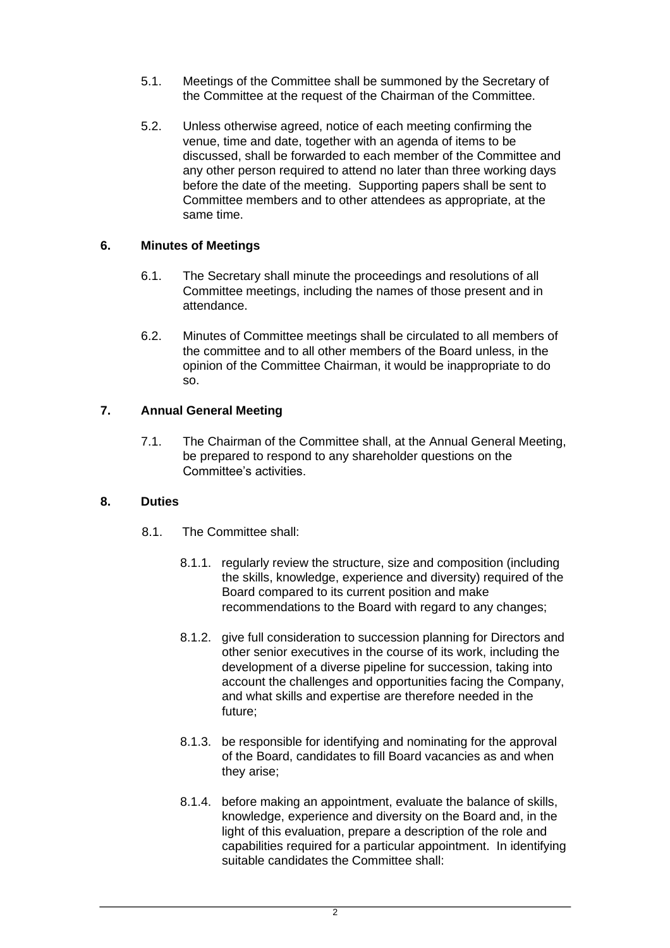- 5.1. Meetings of the Committee shall be summoned by the Secretary of the Committee at the request of the Chairman of the Committee.
- 5.2. Unless otherwise agreed, notice of each meeting confirming the venue, time and date, together with an agenda of items to be discussed, shall be forwarded to each member of the Committee and any other person required to attend no later than three working days before the date of the meeting. Supporting papers shall be sent to Committee members and to other attendees as appropriate, at the same time.

### **6. Minutes of Meetings**

- 6.1. The Secretary shall minute the proceedings and resolutions of all Committee meetings, including the names of those present and in attendance.
- 6.2. Minutes of Committee meetings shall be circulated to all members of the committee and to all other members of the Board unless, in the opinion of the Committee Chairman, it would be inappropriate to do so.

#### **7. Annual General Meeting**

7.1. The Chairman of the Committee shall, at the Annual General Meeting, be prepared to respond to any shareholder questions on the Committee's activities.

#### **8. Duties**

- 8.1. The Committee shall:
	- 8.1.1. regularly review the structure, size and composition (including the skills, knowledge, experience and diversity) required of the Board compared to its current position and make recommendations to the Board with regard to any changes;
	- 8.1.2. give full consideration to succession planning for Directors and other senior executives in the course of its work, including the development of a diverse pipeline for succession, taking into account the challenges and opportunities facing the Company, and what skills and expertise are therefore needed in the future;
	- 8.1.3. be responsible for identifying and nominating for the approval of the Board, candidates to fill Board vacancies as and when they arise;
	- 8.1.4. before making an appointment, evaluate the balance of skills, knowledge, experience and diversity on the Board and, in the light of this evaluation, prepare a description of the role and capabilities required for a particular appointment. In identifying suitable candidates the Committee shall: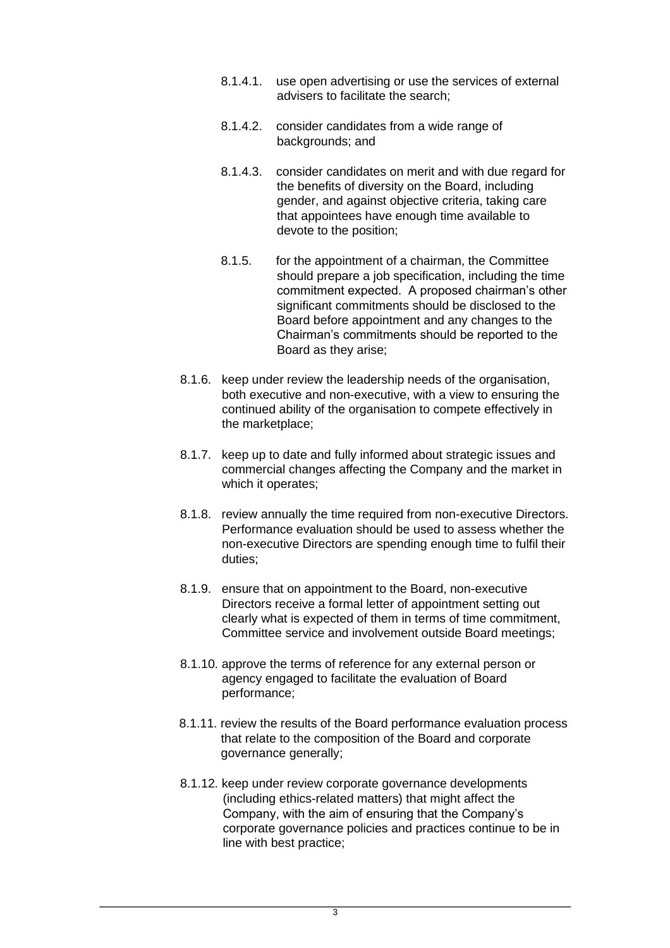- 8.1.4.1. use open advertising or use the services of external advisers to facilitate the search;
- 8.1.4.2. consider candidates from a wide range of backgrounds; and
- 8.1.4.3. consider candidates on merit and with due regard for the benefits of diversity on the Board, including gender, and against objective criteria, taking care that appointees have enough time available to devote to the position;
- 8.1.5. for the appointment of a chairman, the Committee should prepare a job specification, including the time commitment expected. A proposed chairman's other significant commitments should be disclosed to the Board before appointment and any changes to the Chairman's commitments should be reported to the Board as they arise;
- 8.1.6. keep under review the leadership needs of the organisation, both executive and non-executive, with a view to ensuring the continued ability of the organisation to compete effectively in the marketplace;
- 8.1.7. keep up to date and fully informed about strategic issues and commercial changes affecting the Company and the market in which it operates;
- 8.1.8. review annually the time required from non-executive Directors. Performance evaluation should be used to assess whether the non-executive Directors are spending enough time to fulfil their duties;
- 8.1.9. ensure that on appointment to the Board, non-executive Directors receive a formal letter of appointment setting out clearly what is expected of them in terms of time commitment, Committee service and involvement outside Board meetings;
- 8.1.10. approve the terms of reference for any external person or agency engaged to facilitate the evaluation of Board performance;
- 8.1.11. review the results of the Board performance evaluation process that relate to the composition of the Board and corporate governance generally;
- 8.1.12. keep under review corporate governance developments (including ethics-related matters) that might affect the Company, with the aim of ensuring that the Company's corporate governance policies and practices continue to be in line with best practice;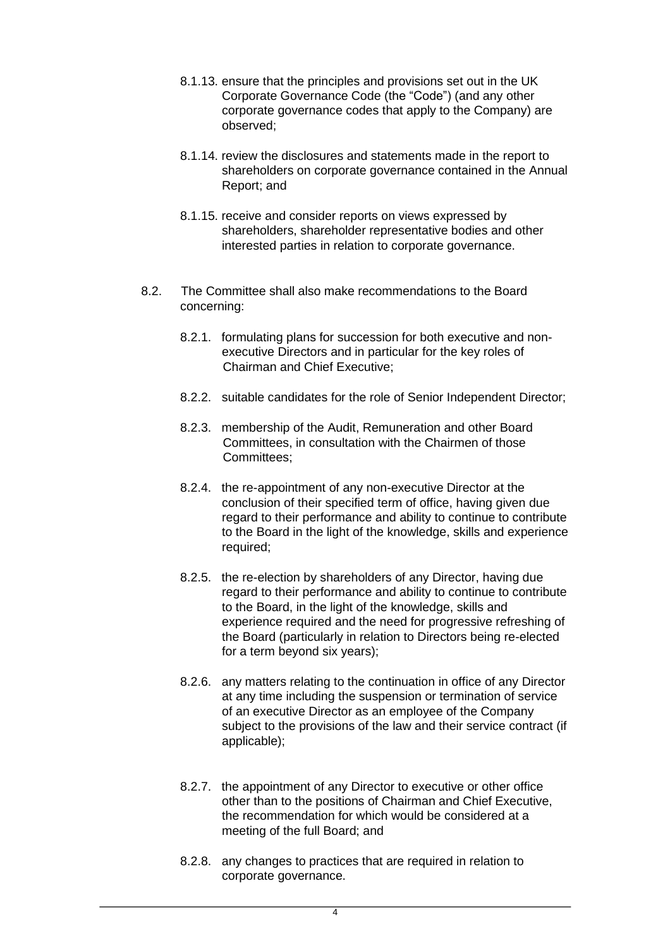- 8.1.13. ensure that the principles and provisions set out in the UK Corporate Governance Code (the "Code") (and any other corporate governance codes that apply to the Company) are observed;
- 8.1.14. review the disclosures and statements made in the report to shareholders on corporate governance contained in the Annual Report; and
- 8.1.15. receive and consider reports on views expressed by shareholders, shareholder representative bodies and other interested parties in relation to corporate governance.
- 8.2. The Committee shall also make recommendations to the Board concerning:
	- 8.2.1. formulating plans for succession for both executive and nonexecutive Directors and in particular for the key roles of Chairman and Chief Executive;
	- 8.2.2. suitable candidates for the role of Senior Independent Director;
	- 8.2.3. membership of the Audit, Remuneration and other Board Committees, in consultation with the Chairmen of those Committees;
	- 8.2.4. the re-appointment of any non-executive Director at the conclusion of their specified term of office, having given due regard to their performance and ability to continue to contribute to the Board in the light of the knowledge, skills and experience required;
	- 8.2.5. the re-election by shareholders of any Director, having due regard to their performance and ability to continue to contribute to the Board, in the light of the knowledge, skills and experience required and the need for progressive refreshing of the Board (particularly in relation to Directors being re-elected for a term beyond six years);
	- 8.2.6. any matters relating to the continuation in office of any Director at any time including the suspension or termination of service of an executive Director as an employee of the Company subject to the provisions of the law and their service contract (if applicable);
	- 8.2.7. the appointment of any Director to executive or other office other than to the positions of Chairman and Chief Executive, the recommendation for which would be considered at a meeting of the full Board; and
	- 8.2.8. any changes to practices that are required in relation to corporate governance.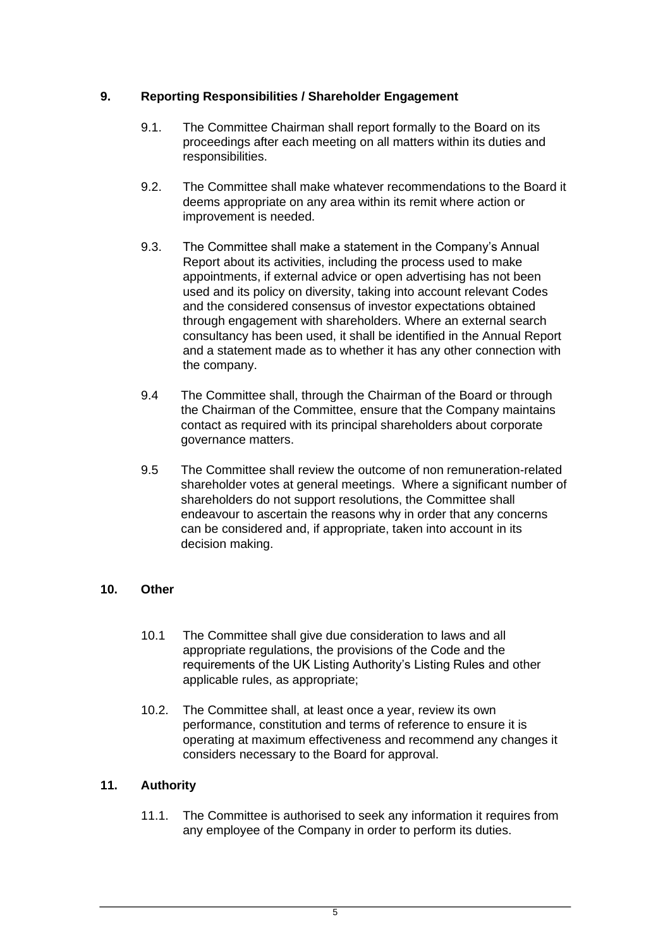### **9. Reporting Responsibilities / Shareholder Engagement**

- 9.1. The Committee Chairman shall report formally to the Board on its proceedings after each meeting on all matters within its duties and responsibilities.
- 9.2. The Committee shall make whatever recommendations to the Board it deems appropriate on any area within its remit where action or improvement is needed.
- 9.3. The Committee shall make a statement in the Company's Annual Report about its activities, including the process used to make appointments, if external advice or open advertising has not been used and its policy on diversity, taking into account relevant Codes and the considered consensus of investor expectations obtained through engagement with shareholders. Where an external search consultancy has been used, it shall be identified in the Annual Report and a statement made as to whether it has any other connection with the company.
- 9.4 The Committee shall, through the Chairman of the Board or through the Chairman of the Committee, ensure that the Company maintains contact as required with its principal shareholders about corporate governance matters.
- 9.5 The Committee shall review the outcome of non remuneration-related shareholder votes at general meetings. Where a significant number of shareholders do not support resolutions, the Committee shall endeavour to ascertain the reasons why in order that any concerns can be considered and, if appropriate, taken into account in its decision making.

### **10. Other**

- 10.1 The Committee shall give due consideration to laws and all appropriate regulations, the provisions of the Code and the requirements of the UK Listing Authority's Listing Rules and other applicable rules, as appropriate;
- 10.2. The Committee shall, at least once a year, review its own performance, constitution and terms of reference to ensure it is operating at maximum effectiveness and recommend any changes it considers necessary to the Board for approval.

# **11. Authority**

11.1. The Committee is authorised to seek any information it requires from any employee of the Company in order to perform its duties.